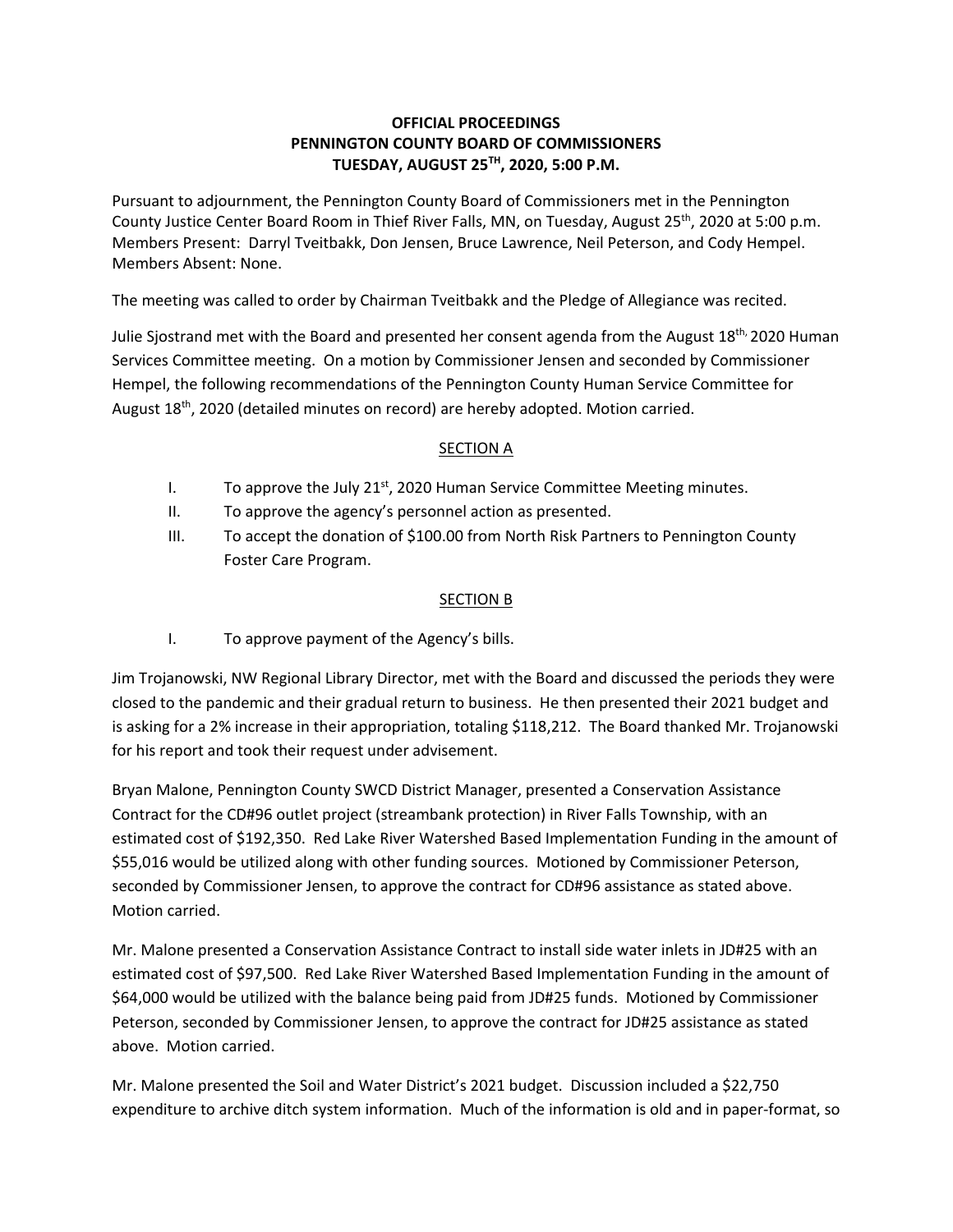## **OFFICIAL PROCEEDINGS PENNINGTON COUNTY BOARD OF COMMISSIONERS TUESDAY, AUGUST 25TH, 2020, 5:00 P.M.**

Pursuant to adjournment, the Pennington County Board of Commissioners met in the Pennington County Justice Center Board Room in Thief River Falls, MN, on Tuesday, August 25<sup>th</sup>, 2020 at 5:00 p.m. Members Present: Darryl Tveitbakk, Don Jensen, Bruce Lawrence, Neil Peterson, and Cody Hempel. Members Absent: None.

The meeting was called to order by Chairman Tveitbakk and the Pledge of Allegiance was recited.

Julie Sjostrand met with the Board and presented her consent agenda from the August  $18<sup>th</sup>$ , 2020 Human Services Committee meeting. On a motion by Commissioner Jensen and seconded by Commissioner Hempel, the following recommendations of the Pennington County Human Service Committee for August 18<sup>th</sup>, 2020 (detailed minutes on record) are hereby adopted. Motion carried.

## SECTION A

- I. To approve the July  $21^{st}$ , 2020 Human Service Committee Meeting minutes.
- II. To approve the agency's personnel action as presented.
- III. To accept the donation of \$100.00 from North Risk Partners to Pennington County Foster Care Program.

## SECTION B

I. To approve payment of the Agency's bills.

Jim Trojanowski, NW Regional Library Director, met with the Board and discussed the periods they were closed to the pandemic and their gradual return to business. He then presented their 2021 budget and is asking for a 2% increase in their appropriation, totaling \$118,212. The Board thanked Mr. Trojanowski for his report and took their request under advisement.

Bryan Malone, Pennington County SWCD District Manager, presented a Conservation Assistance Contract for the CD#96 outlet project (streambank protection) in River Falls Township, with an estimated cost of \$192,350. Red Lake River Watershed Based Implementation Funding in the amount of \$55,016 would be utilized along with other funding sources. Motioned by Commissioner Peterson, seconded by Commissioner Jensen, to approve the contract for CD#96 assistance as stated above. Motion carried.

Mr. Malone presented a Conservation Assistance Contract to install side water inlets in JD#25 with an estimated cost of \$97,500. Red Lake River Watershed Based Implementation Funding in the amount of \$64,000 would be utilized with the balance being paid from JD#25 funds. Motioned by Commissioner Peterson, seconded by Commissioner Jensen, to approve the contract for JD#25 assistance as stated above. Motion carried.

Mr. Malone presented the Soil and Water District's 2021 budget. Discussion included a \$22,750 expenditure to archive ditch system information. Much of the information is old and in paper-format, so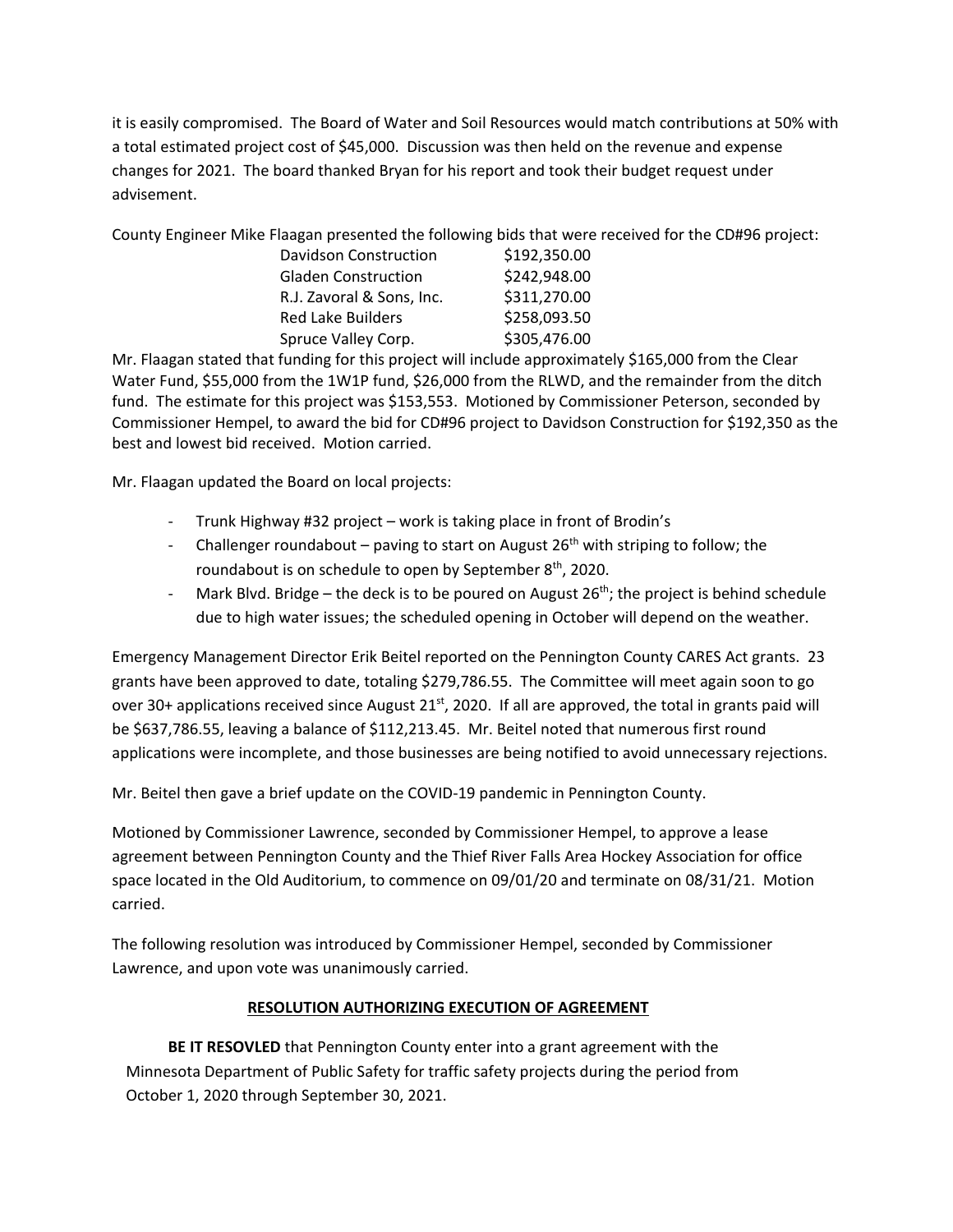it is easily compromised. The Board of Water and Soil Resources would match contributions at 50% with a total estimated project cost of \$45,000. Discussion was then held on the revenue and expense changes for 2021. The board thanked Bryan for his report and took their budget request under advisement.

County Engineer Mike Flaagan presented the following bids that were received for the CD#96 project:

| \$192,350.00 |
|--------------|
| \$242,948.00 |
| \$311,270.00 |
| \$258,093.50 |
| \$305,476.00 |
|              |

Mr. Flaagan stated that funding for this project will include approximately \$165,000 from the Clear Water Fund, \$55,000 from the 1W1P fund, \$26,000 from the RLWD, and the remainder from the ditch fund. The estimate for this project was \$153,553. Motioned by Commissioner Peterson, seconded by Commissioner Hempel, to award the bid for CD#96 project to Davidson Construction for \$192,350 as the best and lowest bid received. Motion carried.

Mr. Flaagan updated the Board on local projects:

- ‐ Trunk Highway #32 project work is taking place in front of Brodin's
- Challenger roundabout paving to start on August  $26<sup>th</sup>$  with striping to follow; the roundabout is on schedule to open by September  $8<sup>th</sup>$ , 2020.
- Mark Blvd. Bridge the deck is to be poured on August  $26<sup>th</sup>$ ; the project is behind schedule due to high water issues; the scheduled opening in October will depend on the weather.

Emergency Management Director Erik Beitel reported on the Pennington County CARES Act grants. 23 grants have been approved to date, totaling \$279,786.55. The Committee will meet again soon to go over 30+ applications received since August  $21^{st}$ , 2020. If all are approved, the total in grants paid will be \$637,786.55, leaving a balance of \$112,213.45. Mr. Beitel noted that numerous first round applications were incomplete, and those businesses are being notified to avoid unnecessary rejections.

Mr. Beitel then gave a brief update on the COVID‐19 pandemic in Pennington County.

Motioned by Commissioner Lawrence, seconded by Commissioner Hempel, to approve a lease agreement between Pennington County and the Thief River Falls Area Hockey Association for office space located in the Old Auditorium, to commence on 09/01/20 and terminate on 08/31/21. Motion carried.

The following resolution was introduced by Commissioner Hempel, seconded by Commissioner Lawrence, and upon vote was unanimously carried.

## **RESOLUTION AUTHORIZING EXECUTION OF AGREEMENT**

**BE IT RESOVLED** that Pennington County enter into a grant agreement with the Minnesota Department of Public Safety for traffic safety projects during the period from October 1, 2020 through September 30, 2021.